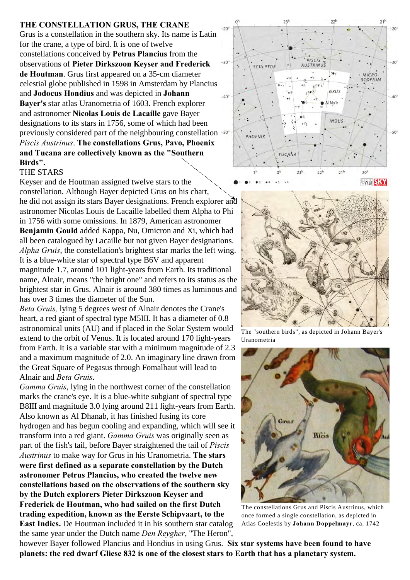## **THE CONSTELLATION GRUS, THE CRANE**

Grus is a constellation in the southern sky. Its name is Latin for the crane, a type of bird. It is one of twelve constellations conceived by **Petrus Plancius** from the observations of **Pieter Dirkszoon Keyser and Frederick de Houtman**. Grus first appeared on a 35-cm diameter celestial globe published in 1598 in Amsterdam by Plancius and **Jodocus Hondius** and was depicted in **Johann Bayer's** star atlas Uranometria of 1603. French explorer and astronomer **Nicolas Louis de Lacaille** gave Bayer designations to its stars in 1756, some of which had been previously considered part of the neighbouring constellation *Piscis Austrinus*. **The constellations Grus, Pavo, Phoenix and Tucana are collectively known as the "Southern Birds".**

## THE STARS

Keyser and de Houtman assigned twelve stars to the constellation. Although Bayer depicted Grus on his chart, he did not assign its stars Bayer designations. French explorer and astronomer Nicolas Louis de Lacaille labelled them Alpha to Phi in 1756 with some omissions. In 1879, American astronomer **Benjamin Gould** added Kappa, Nu, Omicron and Xi, which had all been catalogued by Lacaille but not given Bayer designations. *Alpha Gruis*, the constellation's brightest star marks the left wing. It is a blue-white star of spectral type B6V and apparent magnitude 1.7, around 101 light-years from Earth. Its traditional

name, Alnair, means "the bright one" and refers to its status as the brightest star in Grus. Alnair is around 380 times as luminous and has over 3 times the diameter of the Sun.

*Beta Gruis,* lying 5 degrees west of Alnair denotes the Crane's heart, a red giant of spectral type M5III. It has a diameter of 0.8 astronomical units (AU) and if placed in the Solar System would extend to the orbit of Venus. It is located around 170 light-years from Earth. It is a variable star with a minimum magnitude of 2.3 and a maximum magnitude of 2.0. An imaginary line drawn from the Great Square of Pegasus through Fomalhaut will lead to Alnair and *Beta Gruis*.

*Gamma Gruis*, lying in the northwest corner of the constellation marks the crane's eye. It is a blue-white subgiant of spectral type B8III and magnitude 3.0 lying around 211 light-years from Earth. Also known as Al Dhanab, it has finished fusing its core hydrogen and has begun cooling and expanding, which will see it transform into a red giant. *Gamma Gruis* was originally seen as part of the fish's tail, before Bayer straightened the tail of *Piscis Austrinus* to make way for Grus in his Uranometria. **The stars were first defined as a separate constellation by the Dutch astronomer Petrus Plancius, who created the twelve new constellations based on the observations of the southern sky by the Dutch explorers Pieter Dirkszoon Keyser and Frederick de Houtman, who had sailed on the first Dutch trading expedition, known as the Eerste Schipvaart, to the East Indies.** De Houtman included it in his southern star catalog

the same year under the Dutch name *Den Reygher*, "The Heron",





The "southern birds", as depicted in Johann Bayer's Uranometria



The constellations Grus and Piscis Austrinus, which once formed a single constellation, as depicted in Atlas Coelestis by **Johann Doppelmayr**, ca. 1742

however Bayer followed Plancius and Hondius in using Grus. **Six star systems have been found to have planets: the red dwarf Gliese 832 is one of the closest stars to Earth that has a planetary system.**